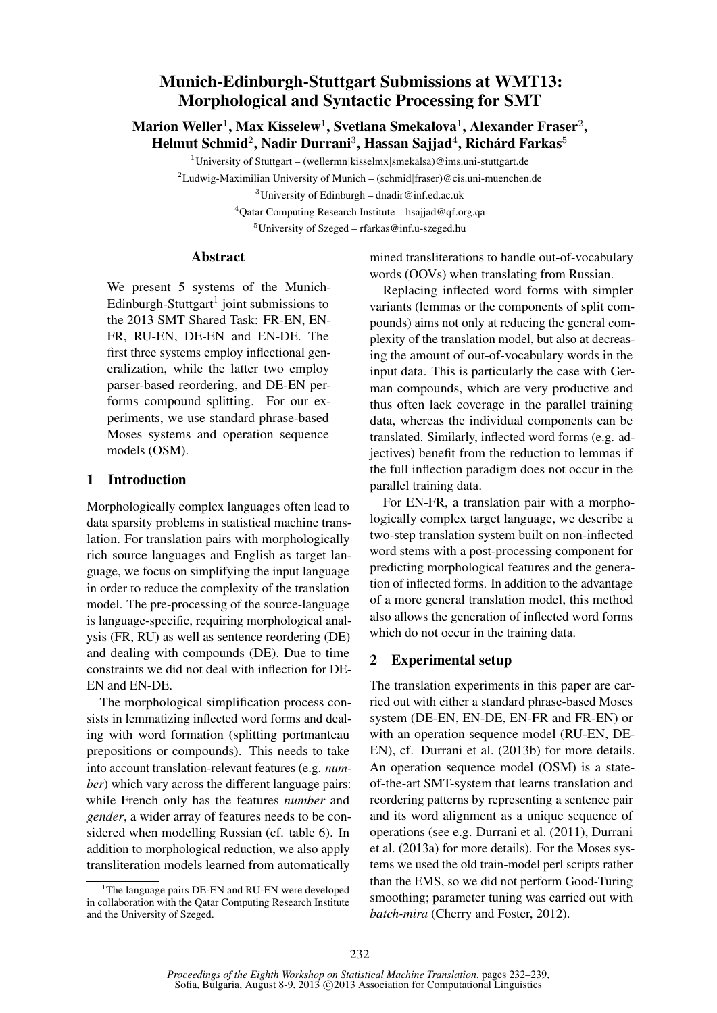# Munich-Edinburgh-Stuttgart Submissions at WMT13: Morphological and Syntactic Processing for SMT

Marion Weller $^1$ , Max Kisselew $^1$ , Svetlana Smekalova $^1$ , Alexander Fraser $^2$ , Helmut Schmid $^2$ , Nadir Durrani $^3$ , Hassan Sajjad $^4$ , Richárd Farkas $^5$ 

<sup>1</sup>University of Stuttgart – (wellermn|kisselmx|smekalsa)@ims.uni-stuttgart.de

<sup>2</sup>Ludwig-Maximilian University of Munich – (schmid|fraser)@cis.uni-muenchen.de <sup>3</sup>University of Edinburgh – dnadir@inf.ed.ac.uk

 $4$ Qatar Computing Research Institute – hsajjad@qf.org.qa

<sup>5</sup>University of Szeged – rfarkas@inf.u-szeged.hu

## Abstract

We present 5 systems of the Munich-Edinburgh-Stuttgart<sup>1</sup> joint submissions to the 2013 SMT Shared Task: FR-EN, EN-FR, RU-EN, DE-EN and EN-DE. The first three systems employ inflectional generalization, while the latter two employ parser-based reordering, and DE-EN performs compound splitting. For our experiments, we use standard phrase-based Moses systems and operation sequence models (OSM).

### 1 Introduction

Morphologically complex languages often lead to data sparsity problems in statistical machine translation. For translation pairs with morphologically rich source languages and English as target language, we focus on simplifying the input language in order to reduce the complexity of the translation model. The pre-processing of the source-language is language-specific, requiring morphological analysis (FR, RU) as well as sentence reordering (DE) and dealing with compounds (DE). Due to time constraints we did not deal with inflection for DE-EN and EN-DE.

The morphological simplification process consists in lemmatizing inflected word forms and dealing with word formation (splitting portmanteau prepositions or compounds). This needs to take into account translation-relevant features (e.g. *number*) which vary across the different language pairs: while French only has the features *number* and *gender*, a wider array of features needs to be considered when modelling Russian (cf. table 6). In addition to morphological reduction, we also apply transliteration models learned from automatically

mined transliterations to handle out-of-vocabulary words (OOVs) when translating from Russian.

Replacing inflected word forms with simpler variants (lemmas or the components of split compounds) aims not only at reducing the general complexity of the translation model, but also at decreasing the amount of out-of-vocabulary words in the input data. This is particularly the case with German compounds, which are very productive and thus often lack coverage in the parallel training data, whereas the individual components can be translated. Similarly, inflected word forms (e.g. adjectives) benefit from the reduction to lemmas if the full inflection paradigm does not occur in the parallel training data.

For EN-FR, a translation pair with a morphologically complex target language, we describe a two-step translation system built on non-inflected word stems with a post-processing component for predicting morphological features and the generation of inflected forms. In addition to the advantage of a more general translation model, this method also allows the generation of inflected word forms which do not occur in the training data.

## 2 Experimental setup

The translation experiments in this paper are carried out with either a standard phrase-based Moses system (DE-EN, EN-DE, EN-FR and FR-EN) or with an operation sequence model (RU-EN, DE-EN), cf. Durrani et al. (2013b) for more details. An operation sequence model (OSM) is a stateof-the-art SMT-system that learns translation and reordering patterns by representing a sentence pair and its word alignment as a unique sequence of operations (see e.g. Durrani et al. (2011), Durrani et al. (2013a) for more details). For the Moses systems we used the old train-model perl scripts rather than the EMS, so we did not perform Good-Turing smoothing; parameter tuning was carried out with *batch-mira* (Cherry and Foster, 2012).

<sup>&</sup>lt;sup>1</sup>The language pairs DE-EN and RU-EN were developed in collaboration with the Qatar Computing Research Institute and the University of Szeged.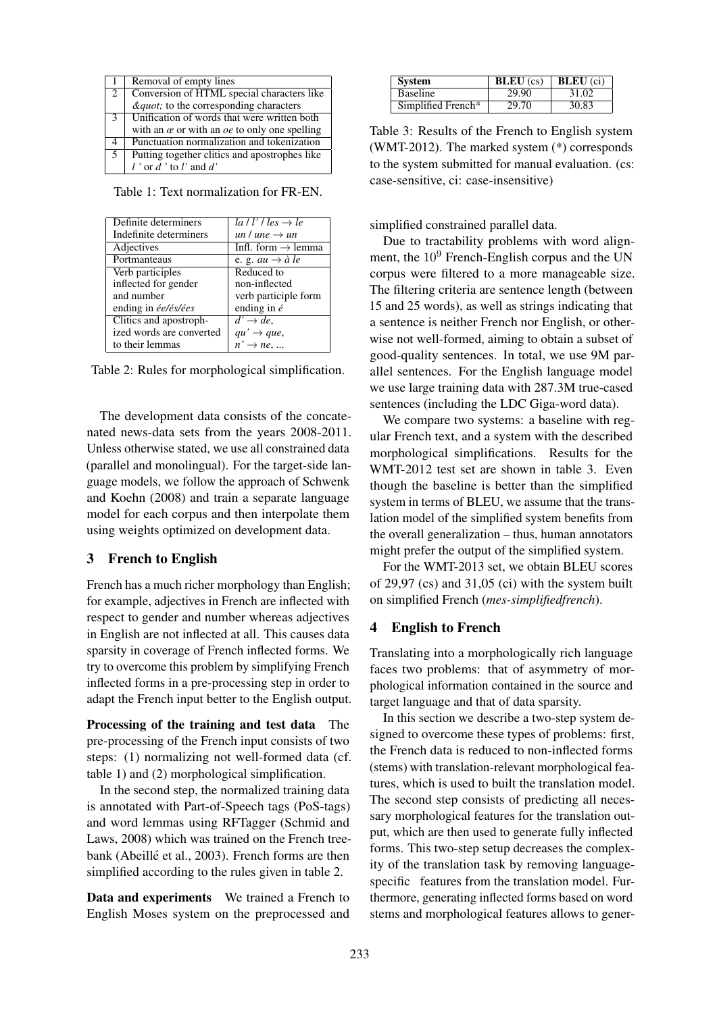|             | Removal of empty lines                                    |
|-------------|-----------------------------------------------------------|
| $2^{\circ}$ | Conversion of HTML special characters like                |
|             | <i>"</i> ; to the corresponding characters                |
| 3           | Unification of words that were written both               |
|             | with an $\alpha$ or with an $\alpha$ to only one spelling |
| 4           | Punctuation normalization and tokenization                |
| 5           | Putting together clitics and apostrophes like             |
|             | l'or d'to l'and d'                                        |

Table 1: Text normalization for FR-EN.

| $la / l' / les \rightarrow le$ |
|--------------------------------|
| un l une $\rightarrow$ un      |
| Infl. form $\rightarrow$ lemma |
| e. g. au $\rightarrow$ à le    |
| Reduced to                     |
| non-inflected                  |
| verb participle form           |
| ending in $\acute{e}$          |
| $d' \rightarrow de$ ,          |
| $qu' \rightarrow que$ ,        |
| $n' \rightarrow ne$            |
|                                |

Table 2: Rules for morphological simplification.

The development data consists of the concatenated news-data sets from the years 2008-2011. Unless otherwise stated, we use all constrained data (parallel and monolingual). For the target-side language models, we follow the approach of Schwenk and Koehn (2008) and train a separate language model for each corpus and then interpolate them using weights optimized on development data.

#### 3 French to English

French has a much richer morphology than English; for example, adjectives in French are inflected with respect to gender and number whereas adjectives in English are not inflected at all. This causes data sparsity in coverage of French inflected forms. We try to overcome this problem by simplifying French inflected forms in a pre-processing step in order to adapt the French input better to the English output.

Processing of the training and test data The pre-processing of the French input consists of two steps: (1) normalizing not well-formed data (cf. table 1) and (2) morphological simplification.

In the second step, the normalized training data is annotated with Part-of-Speech tags (PoS-tags) and word lemmas using RFTagger (Schmid and Laws, 2008) which was trained on the French treebank (Abeillé et al., 2003). French forms are then simplified according to the rules given in table 2.

Data and experiments We trained a French to English Moses system on the preprocessed and

| <b>System</b>      | <b>BLEU</b> $(cs)$ <b>BLEU</b> $(ci)$ |       |  |
|--------------------|---------------------------------------|-------|--|
| <b>Baseline</b>    | 29.90                                 | 31.02 |  |
| Simplified French* | 29.70                                 | 30.83 |  |

Table 3: Results of the French to English system (WMT-2012). The marked system (\*) corresponds to the system submitted for manual evaluation. (cs: case-sensitive, ci: case-insensitive)

simplified constrained parallel data.

Due to tractability problems with word alignment, the  $10^9$  French-English corpus and the UN corpus were filtered to a more manageable size. The filtering criteria are sentence length (between 15 and 25 words), as well as strings indicating that a sentence is neither French nor English, or otherwise not well-formed, aiming to obtain a subset of good-quality sentences. In total, we use 9M parallel sentences. For the English language model we use large training data with 287.3M true-cased sentences (including the LDC Giga-word data).

We compare two systems: a baseline with regular French text, and a system with the described morphological simplifications. Results for the WMT-2012 test set are shown in table 3. Even though the baseline is better than the simplified system in terms of BLEU, we assume that the translation model of the simplified system benefits from the overall generalization – thus, human annotators might prefer the output of the simplified system.

For the WMT-2013 set, we obtain BLEU scores of 29,97 (cs) and 31,05 (ci) with the system built on simplified French (*mes-simplifiedfrench*).

#### 4 English to French

Translating into a morphologically rich language faces two problems: that of asymmetry of morphological information contained in the source and target language and that of data sparsity.

In this section we describe a two-step system designed to overcome these types of problems: first, the French data is reduced to non-inflected forms (stems) with translation-relevant morphological features, which is used to built the translation model. The second step consists of predicting all necessary morphological features for the translation output, which are then used to generate fully inflected forms. This two-step setup decreases the complexity of the translation task by removing languagespecific features from the translation model. Furthermore, generating inflected forms based on word stems and morphological features allows to gener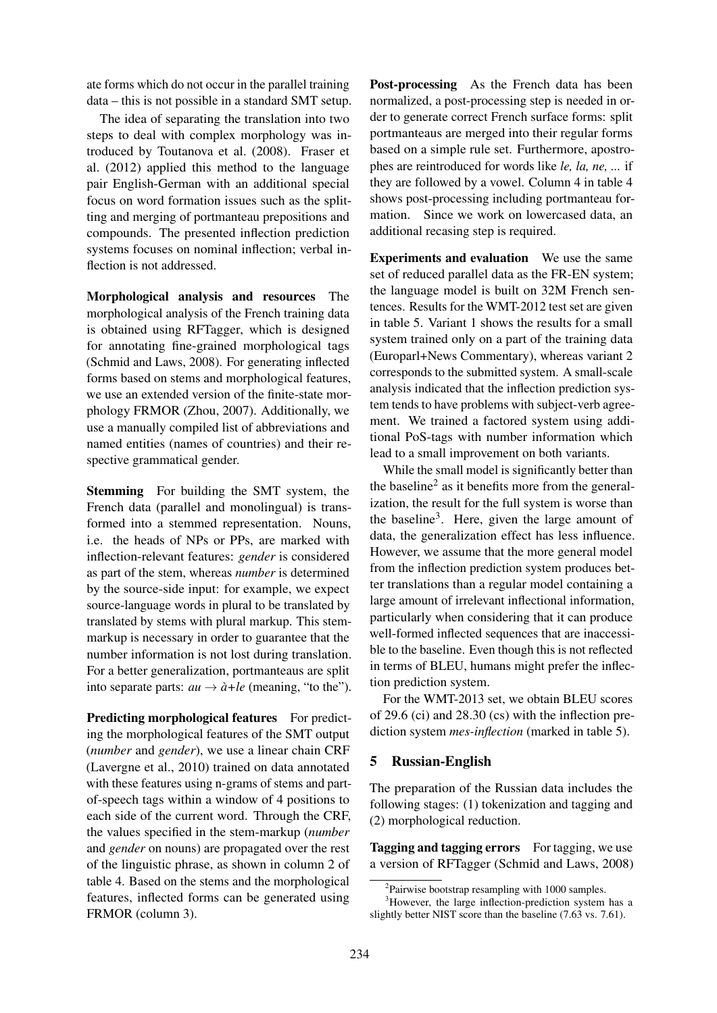ate forms which do not occur in the parallel training data – this is not possible in a standard SMT setup.

The idea of separating the translation into two steps to deal with complex morphology was introduced by Toutanova et al. (2008). Fraser et al. (2012) applied this method to the language pair English-German with an additional special focus on word formation issues such as the splitting and merging of portmanteau prepositions and compounds. The presented inflection prediction systems focuses on nominal inflection; verbal inflection is not addressed.

Morphological analysis and resources The morphological analysis of the French training data is obtained using RFTagger, which is designed for annotating fine-grained morphological tags (Schmid and Laws, 2008). For generating inflected forms based on stems and morphological features, we use an extended version of the finite-state morphology FRMOR (Zhou, 2007). Additionally, we use a manually compiled list of abbreviations and named entities (names of countries) and their respective grammatical gender.

Stemming For building the SMT system, the French data (parallel and monolingual) is transformed into a stemmed representation. Nouns, i.e. the heads of NPs or PPs, are marked with inflection-relevant features: *gender* is considered as part of the stem, whereas *number* is determined by the source-side input: for example, we expect source-language words in plural to be translated by translated by stems with plural markup. This stemmarkup is necessary in order to guarantee that the number information is not lost during translation. For a better generalization, portmanteaus are split into separate parts:  $au \rightarrow \hat{a} + le$  (meaning, "to the").

Predicting morphological features For predicting the morphological features of the SMT output (*number* and *gender*), we use a linear chain CRF (Lavergne et al., 2010) trained on data annotated with these features using n-grams of stems and partof-speech tags within a window of 4 positions to each side of the current word. Through the CRF, the values specified in the stem-markup (*number* and *gender* on nouns) are propagated over the rest of the linguistic phrase, as shown in column 2 of table 4. Based on the stems and the morphological features, inflected forms can be generated using FRMOR (column 3).

Post-processing As the French data has been normalized, a post-processing step is needed in order to generate correct French surface forms: split portmanteaus are merged into their regular forms based on a simple rule set. Furthermore, apostrophes are reintroduced for words like *le, la, ne, ...* if they are followed by a vowel. Column 4 in table 4 shows post-processing including portmanteau formation. Since we work on lowercased data, an additional recasing step is required.

Experiments and evaluation We use the same set of reduced parallel data as the FR-EN system; the language model is built on 32M French sentences. Results for the WMT-2012 test set are given in table 5. Variant 1 shows the results for a small system trained only on a part of the training data (Europarl+News Commentary), whereas variant 2 corresponds to the submitted system. A small-scale analysis indicated that the inflection prediction system tends to have problems with subject-verb agreement. We trained a factored system using additional PoS-tags with number information which lead to a small improvement on both variants.

While the small model is significantly better than the baseline<sup>2</sup> as it benefits more from the generalization, the result for the full system is worse than the baseline<sup>3</sup>. Here, given the large amount of data, the generalization effect has less influence. However, we assume that the more general model from the inflection prediction system produces better translations than a regular model containing a large amount of irrelevant inflectional information, particularly when considering that it can produce well-formed inflected sequences that are inaccessible to the baseline. Even though this is not reflected in terms of BLEU, humans might prefer the inflection prediction system.

For the WMT-2013 set, we obtain BLEU scores of 29.6 (ci) and 28.30 (cs) with the inflection prediction system *mes-inflection* (marked in table 5).

## 5 Russian-English

The preparation of the Russian data includes the following stages: (1) tokenization and tagging and (2) morphological reduction.

Tagging and tagging errors For tagging, we use a version of RFTagger (Schmid and Laws, 2008)

<sup>&</sup>lt;sup>2</sup>Pairwise bootstrap resampling with 1000 samples.

<sup>&</sup>lt;sup>3</sup>However, the large inflection-prediction system has a slightly better NIST score than the baseline (7.63 vs. 7.61).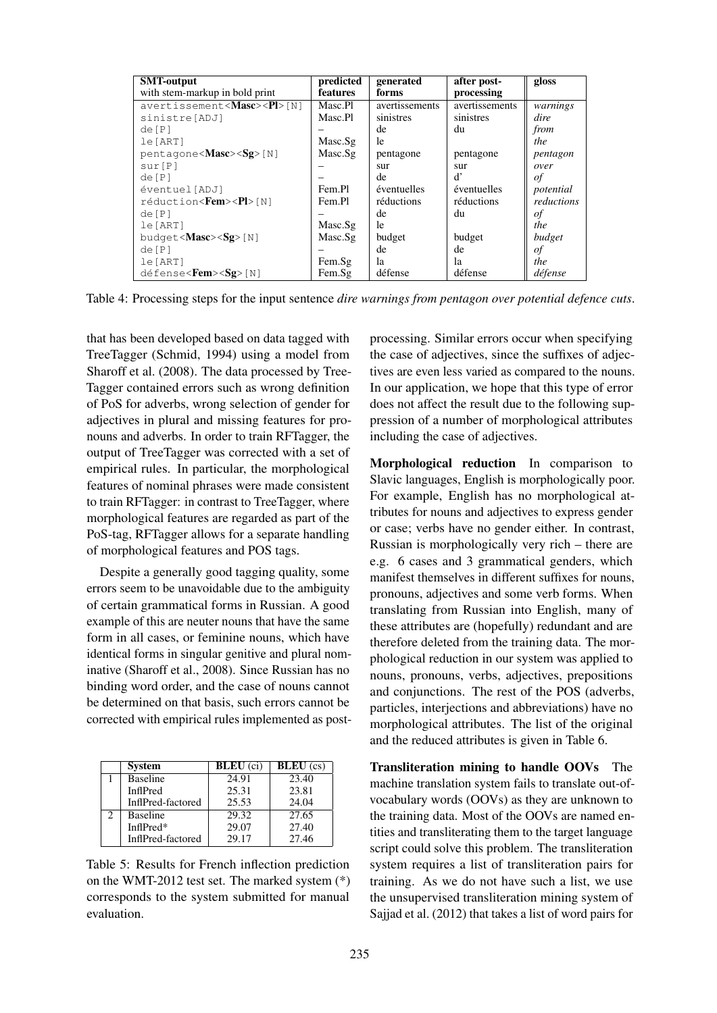| <b>SMT-output</b>                        | predicted | generated      | after post-    | gloss      |
|------------------------------------------|-----------|----------------|----------------|------------|
| with stem-markup in bold print           | features  | forms          | processing     |            |
| avertissement <masc><pl>[N]</pl></masc>  | Masc.Pl   | avertissements | avertissements | warnings   |
| sinistre[ADJ]                            | Masc.Pl   | sinistres      | sinistres      | dire       |
| de[P]                                    |           | de             | du             | from       |
| le[ART]                                  | Masc.Sg   | le             |                | the        |
| pentagone <masc><sg>[N]</sg></masc>      | Masc.Sg   | pentagone      | pentagone      | pentagon   |
| sur[P]                                   |           | sur            | sur            | over       |
| de[P]                                    |           | de             | ď              | οf         |
| éventuel[ADJ]                            | Fem.Pl    | éventuelles    | éventuelles    | potential  |
| réduction< <b>Fem&gt;<pl></pl></b> [N]   | Fem.Pl    | réductions     | réductions     | reductions |
| de[P]                                    |           | de             | du             | οf         |
| le [ART]                                 | Masc.Sg   | le             |                | the        |
| budget< $Massc$ > $(Sg$ > [N]            | Masc.Sg   | budget         | budget         | budget     |
| de[P]                                    |           | de             | de             | οf         |
| le[ART]                                  | Fem.Sg    | la             | la             | the        |
| $défense < Fem \ge Sg > \lceil N \rceil$ | Fem.Sg    | défense        | défense        | défense    |

Table 4: Processing steps for the input sentence *dire warnings from pentagon over potential defence cuts*.

that has been developed based on data tagged with TreeTagger (Schmid, 1994) using a model from Sharoff et al. (2008). The data processed by Tree-Tagger contained errors such as wrong definition of PoS for adverbs, wrong selection of gender for adjectives in plural and missing features for pronouns and adverbs. In order to train RFTagger, the output of TreeTagger was corrected with a set of empirical rules. In particular, the morphological features of nominal phrases were made consistent to train RFTagger: in contrast to TreeTagger, where morphological features are regarded as part of the PoS-tag, RFTagger allows for a separate handling of morphological features and POS tags.

Despite a generally good tagging quality, some errors seem to be unavoidable due to the ambiguity of certain grammatical forms in Russian. A good example of this are neuter nouns that have the same form in all cases, or feminine nouns, which have identical forms in singular genitive and plural nominative (Sharoff et al., 2008). Since Russian has no binding word order, and the case of nouns cannot be determined on that basis, such errors cannot be corrected with empirical rules implemented as post-

| <b>System</b>     | <b>BLEU</b> (ci) | $BLEU$ (cs) |
|-------------------|------------------|-------------|
| <b>Baseline</b>   | 24.91            | 23.40       |
| InflPred          | 25.31            | 23.81       |
| InflPred-factored | 25.53            | 24.04       |
| <b>Baseline</b>   | 29.32            | 27.65       |
| InflPred*         | 29.07            | 27.40       |
| InflPred-factored | 29.17            | 27.46       |

Table 5: Results for French inflection prediction on the WMT-2012 test set. The marked system (\*) corresponds to the system submitted for manual evaluation.

processing. Similar errors occur when specifying the case of adjectives, since the suffixes of adjectives are even less varied as compared to the nouns. In our application, we hope that this type of error does not affect the result due to the following suppression of a number of morphological attributes including the case of adjectives.

Morphological reduction In comparison to Slavic languages, English is morphologically poor. For example, English has no morphological attributes for nouns and adjectives to express gender or case; verbs have no gender either. In contrast, Russian is morphologically very rich – there are e.g. 6 cases and 3 grammatical genders, which manifest themselves in different suffixes for nouns, pronouns, adjectives and some verb forms. When translating from Russian into English, many of these attributes are (hopefully) redundant and are therefore deleted from the training data. The morphological reduction in our system was applied to nouns, pronouns, verbs, adjectives, prepositions and conjunctions. The rest of the POS (adverbs, particles, interjections and abbreviations) have no morphological attributes. The list of the original and the reduced attributes is given in Table 6.

Transliteration mining to handle OOVs The machine translation system fails to translate out-ofvocabulary words (OOVs) as they are unknown to the training data. Most of the OOVs are named entities and transliterating them to the target language script could solve this problem. The transliteration system requires a list of transliteration pairs for training. As we do not have such a list, we use the unsupervised transliteration mining system of Sajjad et al. (2012) that takes a list of word pairs for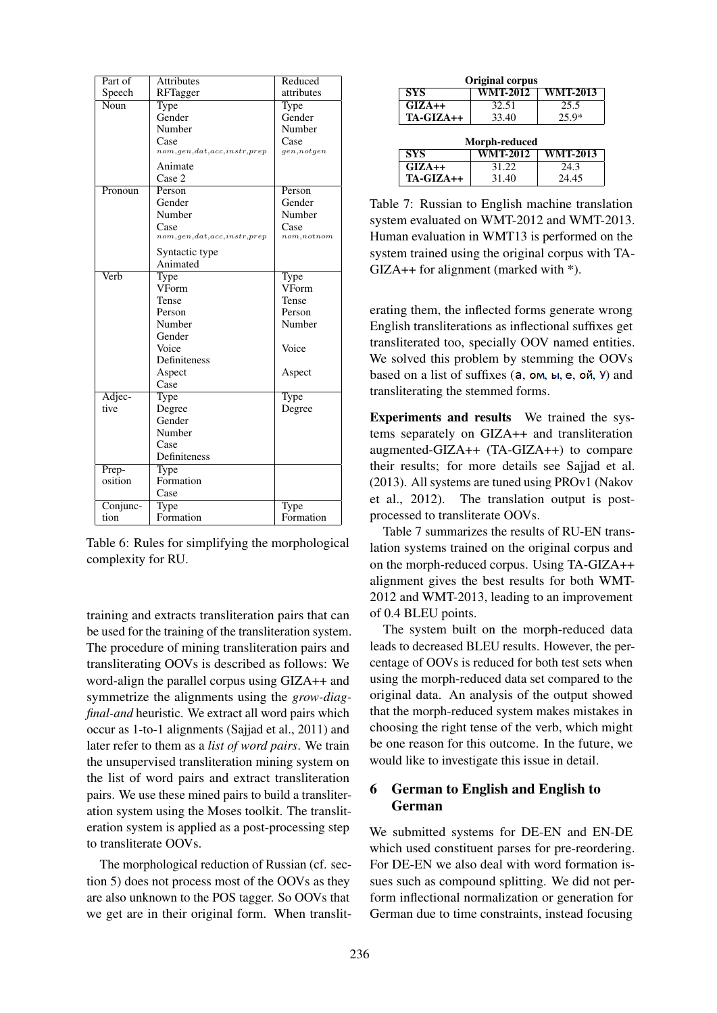| Part of  | <b>Attributes</b>               | Reduced      |
|----------|---------------------------------|--------------|
| Speech   | RFTagger                        | attributes   |
| Noun     | Type                            | Type         |
|          | Gender                          | Gender       |
|          | Number                          | Number       |
|          | Case                            | Case         |
|          | nom, gen, dat, acc, instr, prep | gen, not gen |
|          | Animate                         |              |
|          | Case 2                          |              |
| Pronoun  | Person                          | Person       |
|          | Gender                          | Gender       |
|          | Number                          | Number       |
|          | Case                            | Case         |
|          | nom, gen, dat, acc, instr, prep | nom, not nom |
|          | Syntactic type                  |              |
|          | Animated                        |              |
| Verb     | Type                            | Type         |
|          | VForm                           | VForm        |
|          | Tense                           | Tense        |
|          | Person                          | Person       |
|          | Number                          | Number       |
|          | Gender                          |              |
|          | Voice                           | Voice        |
|          | Definiteness                    |              |
|          | Aspect                          | Aspect       |
|          | Case                            |              |
| Adjec-   | Type                            | Type         |
| tive     | Degree                          | Degree       |
|          | Gender                          |              |
|          | Number                          |              |
|          | Case                            |              |
|          | Definiteness                    |              |
| Prep-    | Type                            |              |
| osition  | Formation                       |              |
|          | Case                            |              |
| Conjunc- |                                 |              |
|          | Type                            | Type         |

Table 6: Rules for simplifying the morphological complexity for RU.

training and extracts transliteration pairs that can be used for the training of the transliteration system. The procedure of mining transliteration pairs and transliterating OOVs is described as follows: We word-align the parallel corpus using GIZA++ and symmetrize the alignments using the *grow-diagfinal-and* heuristic. We extract all word pairs which occur as 1-to-1 alignments (Sajjad et al., 2011) and later refer to them as a *list of word pairs*. We train the unsupervised transliteration mining system on the list of word pairs and extract transliteration pairs. We use these mined pairs to build a transliteration system using the Moses toolkit. The transliteration system is applied as a post-processing step to transliterate OOVs.

The morphological reduction of Russian (cf. section 5) does not process most of the OOVs as they are also unknown to the POS tagger. So OOVs that we get are in their original form. When translit-

| <b>Original corpus</b> |                 |                 |  |
|------------------------|-----------------|-----------------|--|
| <b>SYS</b>             | <b>WMT-2012</b> | <b>WMT-2013</b> |  |
| $GIZA++$               | 32.51           | 25.5            |  |
| TA-GIZA++              | 33.40           | $25.9*$         |  |
|                        |                 |                 |  |
|                        | Morph-reduced   |                 |  |
| <b>SYS</b>             | <b>WMT-2012</b> | <b>WMT-2013</b> |  |
| $GIZA++$               | 31.22           | 24.3            |  |

Table 7: Russian to English machine translation system evaluated on WMT-2012 and WMT-2013. Human evaluation in WMT13 is performed on the system trained using the original corpus with TA- $GIZA++$  for alignment (marked with  $*$ ).

erating them, the inflected forms generate wrong English transliterations as inflectional suffixes get transliterated too, specially OOV named entities. We solved this problem by stemming the OOVs based on a list of suffixes  $(a, om, bl, e, o\emptyset, V)$  and transliterating the stemmed forms.

Experiments and results We trained the systems separately on GIZA++ and transliteration augmented-GIZA++ (TA-GIZA++) to compare their results; for more details see Sajjad et al. (2013). All systems are tuned using PROv1 (Nakov et al., 2012). The translation output is postprocessed to transliterate OOVs.

Table 7 summarizes the results of RU-EN translation systems trained on the original corpus and on the morph-reduced corpus. Using TA-GIZA++ alignment gives the best results for both WMT-2012 and WMT-2013, leading to an improvement of 0.4 BLEU points.

The system built on the morph-reduced data leads to decreased BLEU results. However, the percentage of OOVs is reduced for both test sets when using the morph-reduced data set compared to the original data. An analysis of the output showed that the morph-reduced system makes mistakes in choosing the right tense of the verb, which might be one reason for this outcome. In the future, we would like to investigate this issue in detail.

## 6 German to English and English to German

We submitted systems for DE-EN and EN-DE which used constituent parses for pre-reordering. For DE-EN we also deal with word formation issues such as compound splitting. We did not perform inflectional normalization or generation for German due to time constraints, instead focusing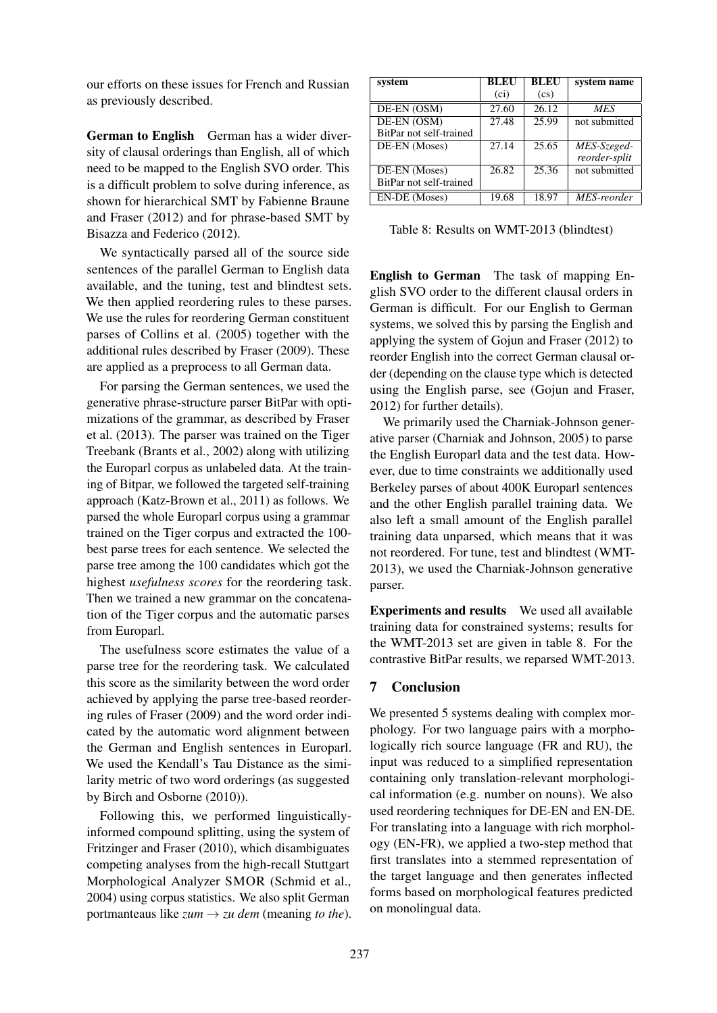our efforts on these issues for French and Russian as previously described.

German to English German has a wider diversity of clausal orderings than English, all of which need to be mapped to the English SVO order. This is a difficult problem to solve during inference, as shown for hierarchical SMT by Fabienne Braune and Fraser (2012) and for phrase-based SMT by Bisazza and Federico (2012).

We syntactically parsed all of the source side sentences of the parallel German to English data available, and the tuning, test and blindtest sets. We then applied reordering rules to these parses. We use the rules for reordering German constituent parses of Collins et al. (2005) together with the additional rules described by Fraser (2009). These are applied as a preprocess to all German data.

For parsing the German sentences, we used the generative phrase-structure parser BitPar with optimizations of the grammar, as described by Fraser et al. (2013). The parser was trained on the Tiger Treebank (Brants et al., 2002) along with utilizing the Europarl corpus as unlabeled data. At the training of Bitpar, we followed the targeted self-training approach (Katz-Brown et al., 2011) as follows. We parsed the whole Europarl corpus using a grammar trained on the Tiger corpus and extracted the 100 best parse trees for each sentence. We selected the parse tree among the 100 candidates which got the highest *usefulness scores* for the reordering task. Then we trained a new grammar on the concatenation of the Tiger corpus and the automatic parses from Europarl.

The usefulness score estimates the value of a parse tree for the reordering task. We calculated this score as the similarity between the word order achieved by applying the parse tree-based reordering rules of Fraser (2009) and the word order indicated by the automatic word alignment between the German and English sentences in Europarl. We used the Kendall's Tau Distance as the similarity metric of two word orderings (as suggested by Birch and Osborne (2010)).

Following this, we performed linguisticallyinformed compound splitting, using the system of Fritzinger and Fraser (2010), which disambiguates competing analyses from the high-recall Stuttgart Morphological Analyzer SMOR (Schmid et al., 2004) using corpus statistics. We also split German portmanteaus like  $zum \rightarrow zu$  *dem* (meaning *to the*).

| system                     | <b>BLEU</b>       | <b>BLEU</b>                | system name   |
|----------------------------|-------------------|----------------------------|---------------|
|                            | (c <sub>i</sub> ) | $\left( \text{cs} \right)$ |               |
| $DE-EN$ $\overline{(OSM)}$ | 27.60             | 26.12                      | <b>MES</b>    |
| DE-EN (OSM)                | 27.48             | $\overline{25.99}$         | not submitted |
| BitPar not self-trained    |                   |                            |               |
| DE-EN (Moses)              | 27.14             | 25.65                      | MES-Szeged-   |
|                            |                   |                            | reorder-split |
| DE-EN (Moses)              | 26.82             | 25.36                      | not submitted |
| BitPar not self-trained    |                   |                            |               |
| EN-DE (Moses)              | 19.68             | 18.97                      | MES-reorder   |

Table 8: Results on WMT-2013 (blindtest)

English to German The task of mapping English SVO order to the different clausal orders in German is difficult. For our English to German systems, we solved this by parsing the English and applying the system of Gojun and Fraser (2012) to reorder English into the correct German clausal order (depending on the clause type which is detected using the English parse, see (Gojun and Fraser, 2012) for further details).

We primarily used the Charniak-Johnson generative parser (Charniak and Johnson, 2005) to parse the English Europarl data and the test data. However, due to time constraints we additionally used Berkeley parses of about 400K Europarl sentences and the other English parallel training data. We also left a small amount of the English parallel training data unparsed, which means that it was not reordered. For tune, test and blindtest (WMT-2013), we used the Charniak-Johnson generative parser.

Experiments and results We used all available training data for constrained systems; results for the WMT-2013 set are given in table 8. For the contrastive BitPar results, we reparsed WMT-2013.

## 7 Conclusion

We presented 5 systems dealing with complex morphology. For two language pairs with a morphologically rich source language (FR and RU), the input was reduced to a simplified representation containing only translation-relevant morphological information (e.g. number on nouns). We also used reordering techniques for DE-EN and EN-DE. For translating into a language with rich morphology (EN-FR), we applied a two-step method that first translates into a stemmed representation of the target language and then generates inflected forms based on morphological features predicted on monolingual data.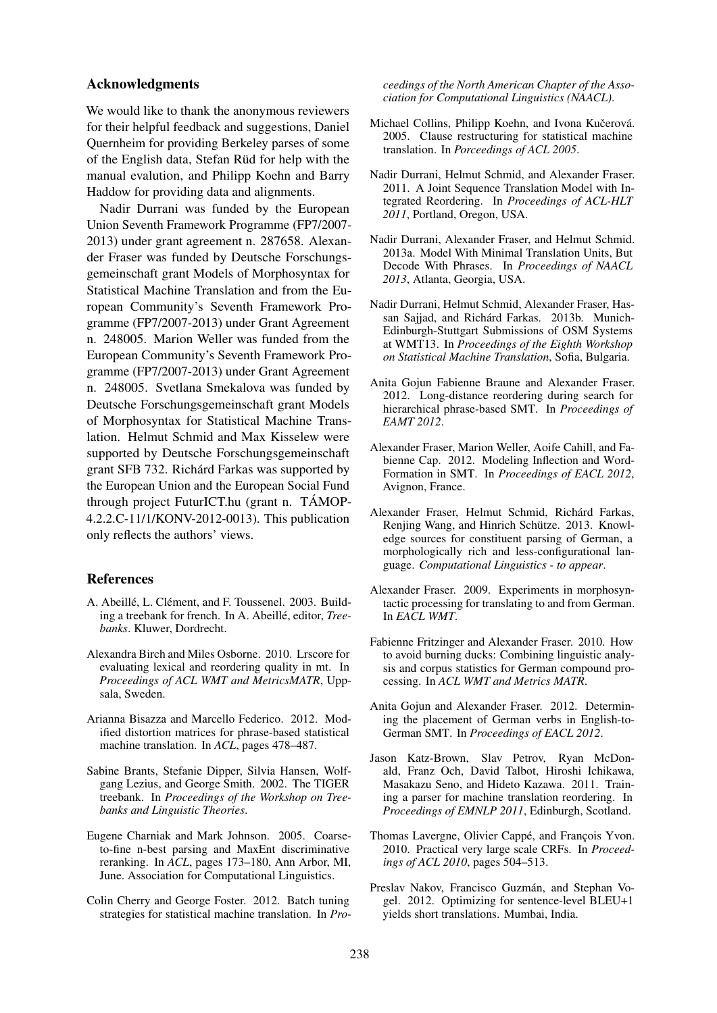#### Acknowledgments

We would like to thank the anonymous reviewers for their helpful feedback and suggestions, Daniel Quernheim for providing Berkeley parses of some of the English data, Stefan Rüd for help with the manual evalution, and Philipp Koehn and Barry Haddow for providing data and alignments.

Nadir Durrani was funded by the European Union Seventh Framework Programme (FP7/2007- 2013) under grant agreement n. 287658. Alexander Fraser was funded by Deutsche Forschungsgemeinschaft grant Models of Morphosyntax for Statistical Machine Translation and from the European Community's Seventh Framework Programme (FP7/2007-2013) under Grant Agreement n. 248005. Marion Weller was funded from the European Community's Seventh Framework Programme (FP7/2007-2013) under Grant Agreement n. 248005. Svetlana Smekalova was funded by Deutsche Forschungsgemeinschaft grant Models of Morphosyntax for Statistical Machine Translation. Helmut Schmid and Max Kisselew were supported by Deutsche Forschungsgemeinschaft grant SFB 732. Richárd Farkas was supported by the European Union and the European Social Fund through project FuturICT.hu (grant n. TAMOP- ´ 4.2.2.C-11/1/KONV-2012-0013). This publication only reflects the authors' views.

#### References

- A. Abeillé, L. Clément, and F. Toussenel. 2003. Building a treebank for french. In A. Abeillé, editor, Tree*banks*. Kluwer, Dordrecht.
- Alexandra Birch and Miles Osborne. 2010. Lrscore for evaluating lexical and reordering quality in mt. In *Proceedings of ACL WMT and MetricsMATR*, Uppsala, Sweden.
- Arianna Bisazza and Marcello Federico. 2012. Modified distortion matrices for phrase-based statistical machine translation. In *ACL*, pages 478–487.
- Sabine Brants, Stefanie Dipper, Silvia Hansen, Wolfgang Lezius, and George Smith. 2002. The TIGER treebank. In *Proceedings of the Workshop on Treebanks and Linguistic Theories*.
- Eugene Charniak and Mark Johnson. 2005. Coarseto-fine n-best parsing and MaxEnt discriminative reranking. In *ACL*, pages 173–180, Ann Arbor, MI, June. Association for Computational Linguistics.
- Colin Cherry and George Foster. 2012. Batch tuning strategies for statistical machine translation. In *Pro-*

*ceedings of the North American Chapter of the Association for Computational Linguistics (NAACL)*.

- Michael Collins, Philipp Koehn, and Ivona Kučerová. 2005. Clause restructuring for statistical machine translation. In *Porceedings of ACL 2005*.
- Nadir Durrani, Helmut Schmid, and Alexander Fraser. 2011. A Joint Sequence Translation Model with Integrated Reordering. In *Proceedings of ACL-HLT 2011*, Portland, Oregon, USA.
- Nadir Durrani, Alexander Fraser, and Helmut Schmid. 2013a. Model With Minimal Translation Units, But Decode With Phrases. In *Proceedings of NAACL 2013*, Atlanta, Georgia, USA.
- Nadir Durrani, Helmut Schmid, Alexander Fraser, Hassan Sajjad, and Richárd Farkas. 2013b. Munich-Edinburgh-Stuttgart Submissions of OSM Systems at WMT13. In *Proceedings of the Eighth Workshop on Statistical Machine Translation*, Sofia, Bulgaria.
- Anita Gojun Fabienne Braune and Alexander Fraser. 2012. Long-distance reordering during search for hierarchical phrase-based SMT. In *Proceedings of EAMT 2012*.
- Alexander Fraser, Marion Weller, Aoife Cahill, and Fabienne Cap. 2012. Modeling Inflection and Word-Formation in SMT. In *Proceedings of EACL 2012*, Avignon, France.
- Alexander Fraser, Helmut Schmid, Richárd Farkas, Renjing Wang, and Hinrich Schütze. 2013. Knowledge sources for constituent parsing of German, a morphologically rich and less-configurational language. *Computational Linguistics - to appear*.
- Alexander Fraser. 2009. Experiments in morphosyntactic processing for translating to and from German. In *EACL WMT*.
- Fabienne Fritzinger and Alexander Fraser. 2010. How to avoid burning ducks: Combining linguistic analysis and corpus statistics for German compound processing. In *ACL WMT and Metrics MATR*.
- Anita Gojun and Alexander Fraser. 2012. Determining the placement of German verbs in English-to-German SMT. In *Proceedings of EACL 2012*.
- Jason Katz-Brown, Slav Petrov, Ryan McDonald, Franz Och, David Talbot, Hiroshi Ichikawa, Masakazu Seno, and Hideto Kazawa. 2011. Training a parser for machine translation reordering. In *Proceedings of EMNLP 2011*, Edinburgh, Scotland.
- Thomas Lavergne, Olivier Cappé, and François Yvon. 2010. Practical very large scale CRFs. In *Proceedings of ACL 2010*, pages 504–513.
- Preslav Nakov, Francisco Guzmán, and Stephan Vogel. 2012. Optimizing for sentence-level BLEU+1 yields short translations. Mumbai, India.